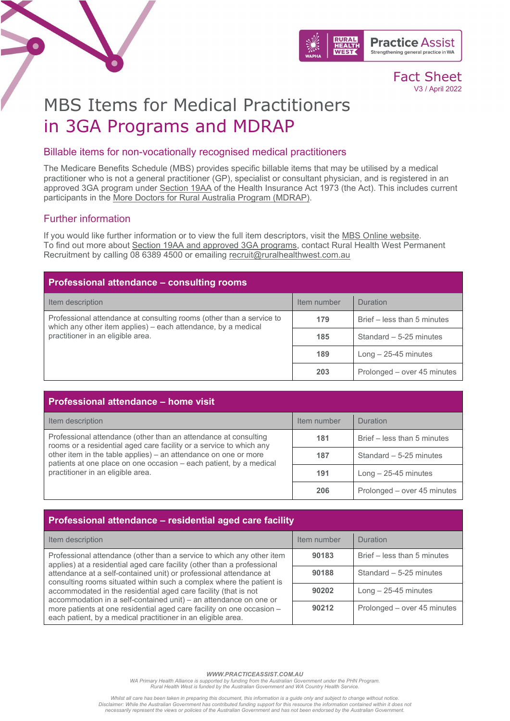



# MBS Items for Medical Practitioners in 3GA Programs and MDRAP

#### Billable items for non-vocationally recognised medical practitioners

The Medicare Benefits Schedule (MBS) provides specific billable items that may be utilised by a medical practitioner who is not a general practitioner (GP), specialist or consultant physician, and is registered in an approved 3GA program under [Section 19AA](https://www.health.gov.au/health-workforce/medicare-billing-restrictions/section-19aa) of the Health Insurance Act 1973 (the Act). This includes current participants in the [More Doctors for Rural Australia Program \(MDRAP\).](https://www.ruralhealthwest.com.au/general-practice/mdrap)

### Further information

If you would like further information or to view the full item descriptors, visit the MBS [Online website.](http://www.mbsonline.gov.au/)<br>To find out more about [Section 19AA and approved 3GA programs,](https://www.practiceassist.com.au/PracticeAssist/media/ResourceLibrary/Human%20Resources%20and%20Staff%20Management/Section-19AA-and-3GA-Programs-Fact-Sheet-V2-200825.pdf) contact Rural Health West Permanent Recruitment by calling 08 6389 4500 or emailing [recruit@ruralhealthwest.com.au](mailto:recruit@ruralhealthwest.com.au)

| <b>Professional attendance - consulting rooms</b>                                                                                                                          |             |                             |
|----------------------------------------------------------------------------------------------------------------------------------------------------------------------------|-------------|-----------------------------|
| Item description                                                                                                                                                           | Item number | <b>Duration</b>             |
| Professional attendance at consulting rooms (other than a service to<br>which any other item applies) - each attendance, by a medical<br>practitioner in an eligible area. | 179         | Brief – less than 5 minutes |
|                                                                                                                                                                            | 185         | Standard - 5-25 minutes     |
|                                                                                                                                                                            | 189         | $Long - 25-45$ minutes      |
|                                                                                                                                                                            | 203         | Prolonged - over 45 minutes |

| <b>Professional attendance - home visit</b>                                                                                                                                |             |                             |
|----------------------------------------------------------------------------------------------------------------------------------------------------------------------------|-------------|-----------------------------|
| Item description                                                                                                                                                           | Item number | Duration                    |
| Professional attendance (other than an attendance at consulting<br>rooms or a residential aged care facility or a service to which any                                     | 181         | Brief – less than 5 minutes |
| other item in the table applies) - an attendance on one or more<br>patients at one place on one occasion - each patient, by a medical<br>practitioner in an eligible area. | 187         | Standard $-5-25$ minutes    |
|                                                                                                                                                                            | 191         | $Long - 25-45$ minutes      |
|                                                                                                                                                                            | 206         | Prolonged - over 45 minutes |

| Professional attendance - residential aged care facility                                                                                                                                                                                                                           |             |                             |
|------------------------------------------------------------------------------------------------------------------------------------------------------------------------------------------------------------------------------------------------------------------------------------|-------------|-----------------------------|
| Item description                                                                                                                                                                                                                                                                   | Item number | <b>Duration</b>             |
| Professional attendance (other than a service to which any other item<br>applies) at a residential aged care facility (other than a professional                                                                                                                                   | 90183       | Brief – less than 5 minutes |
| attendance at a self-contained unit) or professional attendance at<br>consulting rooms situated within such a complex where the patient is<br>accommodated in the residential aged care facility (that is not<br>accommodation in a self-contained unit) - an attendance on one or | 90188       | Standard $-5-25$ minutes    |
|                                                                                                                                                                                                                                                                                    | 90202       | $Long - 25-45$ minutes      |
| more patients at one residential aged care facility on one occasion -<br>each patient, by a medical practitioner in an eligible area.                                                                                                                                              | 90212       | Prolonged – over 45 minutes |

*WWW.PRACTICEASSIST.COM.AU*

WA Primary Health Alliance is supported by funding from the Australian Government under the PHN Program.<br>Rural Health West is funded by the Australian Government and WA Country Health Service.

.Whilst all care has been taken in preparing this document, this information is a guide only and subject to change without notice.<br>Disclaimer: While the Australian Government has contributed funding support for this resour *necessarily represent the views or policies of the Australian Government and has not been endorsed by the Australian Government.*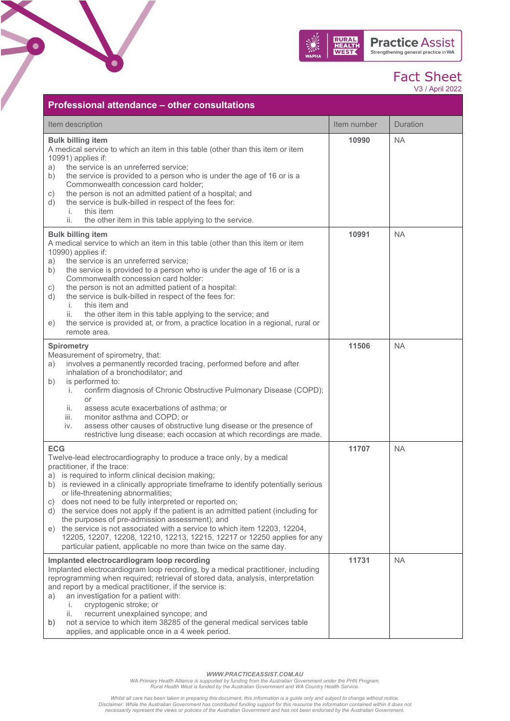

V3 / April 2022

| Professional attendance – other consultations                                                                                                                                                                                                                                                                                                                                                                                                                                                                                                                                                                                                                                                                                                        |             |                 |
|------------------------------------------------------------------------------------------------------------------------------------------------------------------------------------------------------------------------------------------------------------------------------------------------------------------------------------------------------------------------------------------------------------------------------------------------------------------------------------------------------------------------------------------------------------------------------------------------------------------------------------------------------------------------------------------------------------------------------------------------------|-------------|-----------------|
| Item description                                                                                                                                                                                                                                                                                                                                                                                                                                                                                                                                                                                                                                                                                                                                     | Item number | <b>Duration</b> |
| <b>Bulk billing item</b><br>A medical service to which an item in this table (other than this item or item<br>10991) applies if:<br>the service is an unreferred service;<br>a)<br>the service is provided to a person who is under the age of 16 or is a<br>b)<br>Commonwealth concession card holder;<br>the person is not an admitted patient of a hospital; and<br>c)<br>the service is bulk-billed in respect of the fees for:<br>d)<br>this item<br>İ.<br>the other item in this table applying to the service.<br>ii.                                                                                                                                                                                                                         | 10990       | <b>NA</b>       |
| <b>Bulk billing item</b><br>A medical service to which an item in this table (other than this item or item<br>10990) applies if:<br>the service is an unreferred service;<br>a)<br>the service is provided to a person who is under the age of 16 or is a<br>b)<br>Commonwealth concession card holder:<br>the person is not an admitted patient of a hospital:<br>C)<br>the service is bulk-billed in respect of the fees for:<br>d)<br>this item and<br>i.<br>the other item in this table applying to the service; and<br>ii.<br>the service is provided at, or from, a practice location in a regional, rural or<br>e)<br>remote area.                                                                                                           | 10991       | <b>NA</b>       |
| <b>Spirometry</b><br>Measurement of spirometry, that:<br>involves a permanently recorded tracing, performed before and after<br>a)<br>inhalation of a bronchodilator; and<br>is performed to:<br>b)<br>confirm diagnosis of Chronic Obstructive Pulmonary Disease (COPD);<br>İ.<br>or<br>assess acute exacerbations of asthma; or<br>ii.<br>monitor asthma and COPD; or<br>iii.<br>assess other causes of obstructive lung disease or the presence of<br>iv.<br>restrictive lung disease; each occasion at which recordings are made.                                                                                                                                                                                                                | 11506       | <b>NA</b>       |
| <b>ECG</b><br>Twelve-lead electrocardiography to produce a trace only, by a medical<br>practitioner, if the trace:<br>a) is required to inform clinical decision making;<br>b) is reviewed in a clinically appropriate timeframe to identify potentially serious<br>or life-threatening abnormalities;<br>does not need to be fully interpreted or reported on;<br>C)<br>the service does not apply if the patient is an admitted patient (including for<br>d)<br>the purposes of pre-admission assessment); and<br>the service is not associated with a service to which item 12203, 12204,<br>e)<br>12205, 12207, 12208, 12210, 12213, 12215, 12217 or 12250 applies for any<br>particular patient, applicable no more than twice on the same day. | 11707       | NA.             |
| Implanted electrocardiogram loop recording<br>Implanted electrocardiogram loop recording, by a medical practitioner, including<br>reprogramming when required; retrieval of stored data, analysis, interpretation<br>and report by a medical practitioner, if the service is:<br>an investigation for a patient with:<br>a)<br>cryptogenic stroke; or<br>İ.<br>recurrent unexplained syncope; and<br>ii.<br>not a service to which item 38285 of the general medical services table<br>b)<br>applies, and applicable once in a 4 week period.                                                                                                                                                                                                        | 11731       | <b>NA</b>       |

 $\bullet$ 

WWW.PRACTICEASSIST.COM.AU<br>WA Primary Health Alliance is supported by funding from the Australian Government under the PHN Program.<br>Rural Health West is funded by the Australian Government and WA Country Health Service.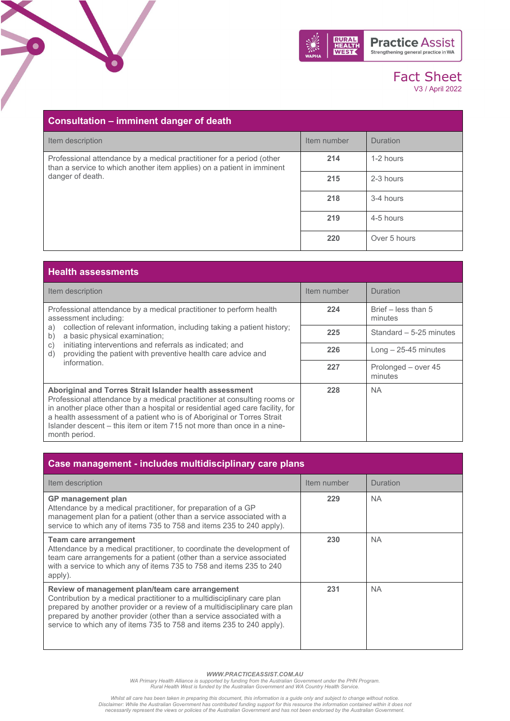

| Consultation – imminent danger of death                                                                                                         |             |                 |
|-------------------------------------------------------------------------------------------------------------------------------------------------|-------------|-----------------|
| Item description                                                                                                                                | Item number | <b>Duration</b> |
| Professional attendance by a medical practitioner for a period (other<br>than a service to which another item applies) on a patient in imminent | 214         | 1-2 hours       |
| danger of death.                                                                                                                                | 215         | 2-3 hours       |
|                                                                                                                                                 | 218         | 3-4 hours       |
|                                                                                                                                                 | 219         | 4-5 hours       |
|                                                                                                                                                 | 220         | Over 5 hours    |

.<br>О

| <b>Health assessments</b>                                                                                                                                                                                                                                                                                                                                                                 |             |                                  |
|-------------------------------------------------------------------------------------------------------------------------------------------------------------------------------------------------------------------------------------------------------------------------------------------------------------------------------------------------------------------------------------------|-------------|----------------------------------|
| Item description                                                                                                                                                                                                                                                                                                                                                                          | Item number | Duration                         |
| Professional attendance by a medical practitioner to perform health<br>assessment including:                                                                                                                                                                                                                                                                                              | 224         | Brief $-$ less than 5<br>minutes |
| collection of relevant information, including taking a patient history;<br>a)<br>a basic physical examination;<br>b)                                                                                                                                                                                                                                                                      | 225         | Standard - 5-25 minutes          |
| initiating interventions and referrals as indicated; and<br>C)<br>providing the patient with preventive health care advice and<br>d)                                                                                                                                                                                                                                                      | 226         | $Long - 25-45$ minutes           |
| information.                                                                                                                                                                                                                                                                                                                                                                              | 227         | Prolonged - over 45<br>minutes   |
| Aboriginal and Torres Strait Islander health assessment<br>Professional attendance by a medical practitioner at consulting rooms or<br>in another place other than a hospital or residential aged care facility, for<br>a health assessment of a patient who is of Aboriginal or Torres Strait<br>Islander descent – this item or item 715 not more than once in a nine-<br>month period. | 228         | <b>NA</b>                        |

| Case management - includes multidisciplinary care plans                                                                                                                                                                                                                                                                                                  |             |           |
|----------------------------------------------------------------------------------------------------------------------------------------------------------------------------------------------------------------------------------------------------------------------------------------------------------------------------------------------------------|-------------|-----------|
| Item description                                                                                                                                                                                                                                                                                                                                         | Item number | Duration  |
| <b>GP</b> management plan<br>Attendance by a medical practitioner, for preparation of a GP<br>management plan for a patient (other than a service associated with a<br>service to which any of items 735 to 758 and items 235 to 240 apply).                                                                                                             | 229         | NA.       |
| <b>Team care arrangement</b><br>Attendance by a medical practitioner, to coordinate the development of<br>team care arrangements for a patient (other than a service associated<br>with a service to which any of items 735 to 758 and items 235 to 240<br>apply).                                                                                       | 230         | <b>NA</b> |
| Review of management plan/team care arrangement<br>Contribution by a medical practitioner to a multidisciplinary care plan<br>prepared by another provider or a review of a multidisciplinary care plan<br>prepared by another provider (other than a service associated with a<br>service to which any of items 735 to 758 and items 235 to 240 apply). | 231         | <b>NA</b> |

WWW.PRACTICEASSIST.COM.AU<br>WA Primary Health Alliance is supported by funding from the Australian Government under the PHN Program.<br>Rural Health West is funded by the Australian Government and WA Country Health Service.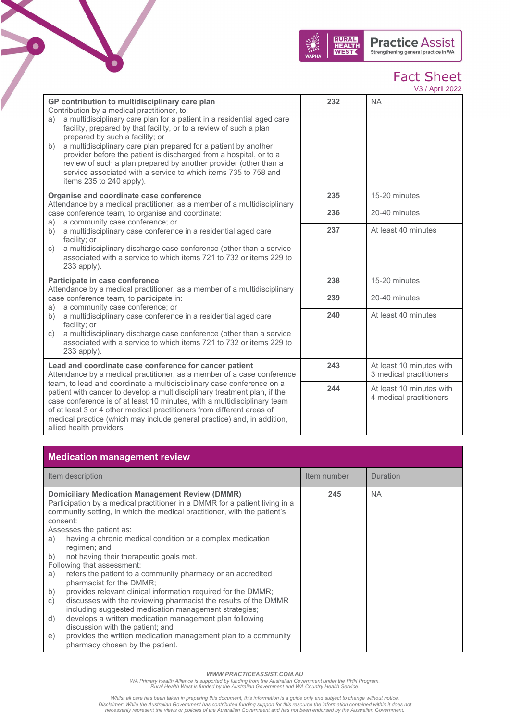

V3 / April 2022

| GP contribution to multidisciplinary care plan<br>Contribution by a medical practitioner, to:<br>a multidisciplinary care plan for a patient in a residential aged care<br>a)<br>facility, prepared by that facility, or to a review of such a plan<br>prepared by such a facility; or<br>a multidisciplinary care plan prepared for a patient by another<br>b)<br>provider before the patient is discharged from a hospital, or to a<br>review of such a plan prepared by another provider (other than a<br>service associated with a service to which items 735 to 758 and<br>items 235 to 240 apply). | 232 | <b>NA</b>                                           |
|----------------------------------------------------------------------------------------------------------------------------------------------------------------------------------------------------------------------------------------------------------------------------------------------------------------------------------------------------------------------------------------------------------------------------------------------------------------------------------------------------------------------------------------------------------------------------------------------------------|-----|-----------------------------------------------------|
| Organise and coordinate case conference<br>Attendance by a medical practitioner, as a member of a multidisciplinary                                                                                                                                                                                                                                                                                                                                                                                                                                                                                      | 235 | 15-20 minutes                                       |
| case conference team, to organise and coordinate:<br>a community case conference; or<br>a)                                                                                                                                                                                                                                                                                                                                                                                                                                                                                                               | 236 | 20-40 minutes                                       |
| a multidisciplinary case conference in a residential aged care<br>b)<br>facility; or<br>a multidisciplinary discharge case conference (other than a service<br>C)<br>associated with a service to which items 721 to 732 or items 229 to<br>233 apply).                                                                                                                                                                                                                                                                                                                                                  | 237 | At least 40 minutes                                 |
| Participate in case conference<br>Attendance by a medical practitioner, as a member of a multidisciplinary                                                                                                                                                                                                                                                                                                                                                                                                                                                                                               | 238 | 15-20 minutes                                       |
| case conference team, to participate in:<br>a community case conference; or<br>a)                                                                                                                                                                                                                                                                                                                                                                                                                                                                                                                        | 239 | 20-40 minutes                                       |
| a multidisciplinary case conference in a residential aged care<br>b)<br>facility; or<br>a multidisciplinary discharge case conference (other than a service<br>C)<br>associated with a service to which items 721 to 732 or items 229 to<br>233 apply).                                                                                                                                                                                                                                                                                                                                                  | 240 | At least 40 minutes                                 |
| Lead and coordinate case conference for cancer patient<br>Attendance by a medical practitioner, as a member of a case conference                                                                                                                                                                                                                                                                                                                                                                                                                                                                         | 243 | At least 10 minutes with<br>3 medical practitioners |
| team, to lead and coordinate a multidisciplinary case conference on a<br>patient with cancer to develop a multidisciplinary treatment plan, if the<br>case conference is of at least 10 minutes, with a multidisciplinary team<br>of at least 3 or 4 other medical practitioners from different areas of<br>medical practice (which may include general practice) and, in addition,<br>allied health providers.                                                                                                                                                                                          | 244 | At least 10 minutes with<br>4 medical practitioners |

### **Medication management review**

6

|          | Item description                                                                                                                                                                                                  | Item number | <b>Duration</b> |
|----------|-------------------------------------------------------------------------------------------------------------------------------------------------------------------------------------------------------------------|-------------|-----------------|
| consent: | <b>Domiciliary Medication Management Review (DMMR)</b><br>Participation by a medical practitioner in a DMMR for a patient living in a<br>community setting, in which the medical practitioner, with the patient's | 245         | <b>NA</b>       |
|          | Assesses the patient as:                                                                                                                                                                                          |             |                 |
| a)       | having a chronic medical condition or a complex medication<br>regimen; and                                                                                                                                        |             |                 |
| b)       | not having their therapeutic goals met.                                                                                                                                                                           |             |                 |
|          | Following that assessment:                                                                                                                                                                                        |             |                 |
| a)       | refers the patient to a community pharmacy or an accredited<br>pharmacist for the DMMR;                                                                                                                           |             |                 |
| b)       | provides relevant clinical information required for the DMMR;                                                                                                                                                     |             |                 |
| C)       | discusses with the reviewing pharmacist the results of the DMMR<br>including suggested medication management strategies;                                                                                          |             |                 |
| d)       | develops a written medication management plan following<br>discussion with the patient; and                                                                                                                       |             |                 |
| e)       | provides the written medication management plan to a community<br>pharmacy chosen by the patient.                                                                                                                 |             |                 |

WWW.PRACTICEASSIST.COM.AU<br>WA Primary Health Alliance is supported by funding from the Australian Government under the PHN Program.<br>Rural Health West is funded by the Australian Government and WA Country Health Service.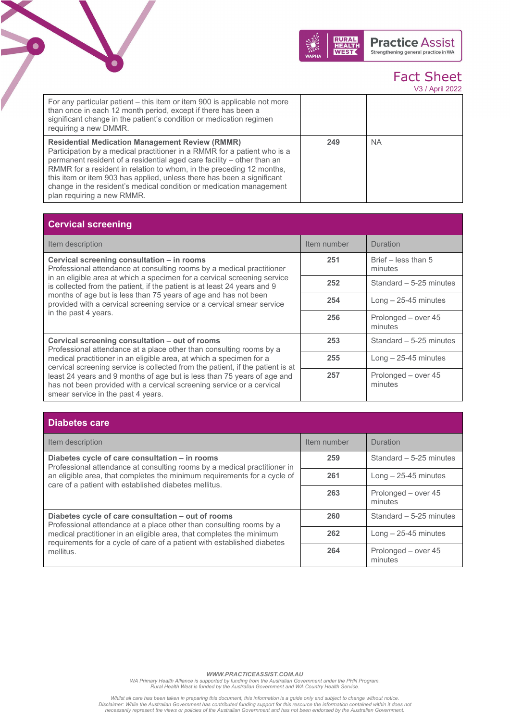



V3 / April 2022

| For any particular patient – this item or item 900 is applicable not more<br>than once in each 12 month period, except if there has been a<br>significant change in the patient's condition or medication regimen<br>requiring a new DMMR.                                                                                                                                                                                                                          |     |           |
|---------------------------------------------------------------------------------------------------------------------------------------------------------------------------------------------------------------------------------------------------------------------------------------------------------------------------------------------------------------------------------------------------------------------------------------------------------------------|-----|-----------|
| <b>Residential Medication Management Review (RMMR)</b><br>Participation by a medical practitioner in a RMMR for a patient who is a<br>permanent resident of a residential aged care facility – other than an<br>RMMR for a resident in relation to whom, in the preceding 12 months,<br>this item or item 903 has applied, unless there has been a significant<br>change in the resident's medical condition or medication management<br>plan requiring a new RMMR. | 249 | <b>NA</b> |

| <b>Cervical screening</b>                                                                                                                                                              |             |                                |
|----------------------------------------------------------------------------------------------------------------------------------------------------------------------------------------|-------------|--------------------------------|
| Item description                                                                                                                                                                       | Item number | <b>Duration</b>                |
| Cervical screening consultation - in rooms<br>Professional attendance at consulting rooms by a medical practitioner                                                                    | 251         | Brief – less than 5<br>minutes |
| in an eligible area at which a specimen for a cervical screening service<br>is collected from the patient, if the patient is at least 24 years and 9                                   | 252         | Standard - 5-25 minutes        |
| months of age but is less than 75 years of age and has not been<br>provided with a cervical screening service or a cervical smear service                                              | 254         | $Long - 25-45$ minutes         |
| in the past 4 years.                                                                                                                                                                   | 256         | Prolonged – over 45<br>minutes |
| Cervical screening consultation - out of rooms<br>Professional attendance at a place other than consulting rooms by a                                                                  | 253         | Standard - 5-25 minutes        |
| medical practitioner in an eligible area, at which a specimen for a<br>cervical screening service is collected from the patient, if the patient is at                                  | 255         | Long $-25-45$ minutes          |
| least 24 years and 9 months of age but is less than 75 years of age and<br>has not been provided with a cervical screening service or a cervical<br>smear service in the past 4 years. | 257         | Prolonged - over 45<br>minutes |

| <b>Diabetes care</b> |  |
|----------------------|--|
|                      |  |
|                      |  |

| Item description                                                                                                                                                                                                                                                                          | Item number | Duration                       |
|-------------------------------------------------------------------------------------------------------------------------------------------------------------------------------------------------------------------------------------------------------------------------------------------|-------------|--------------------------------|
| Diabetes cycle of care consultation - in rooms<br>Professional attendance at consulting rooms by a medical practitioner in<br>an eligible area, that completes the minimum requirements for a cycle of<br>care of a patient with established diabetes mellitus.                           | 259         | Standard $-5-25$ minutes       |
|                                                                                                                                                                                                                                                                                           | 261         | $Long - 25-45$ minutes         |
|                                                                                                                                                                                                                                                                                           | 263         | Prolonged - over 45<br>minutes |
| Diabetes cycle of care consultation - out of rooms<br>Professional attendance at a place other than consulting rooms by a<br>medical practitioner in an eligible area, that completes the minimum<br>requirements for a cycle of care of a patient with established diabetes<br>mellitus. | 260         | Standard - 5-25 minutes        |
|                                                                                                                                                                                                                                                                                           | 262         | $Long - 25-45$ minutes         |
|                                                                                                                                                                                                                                                                                           | 264         | Prolonged - over 45<br>minutes |

WWW.PRACTICEASSIST.COM.AU<br>WA Primary Health Alliance is supported by funding from the Australian Government under the PHN Program.<br>Rural Health West is funded by the Australian Government and WA Country Health Service.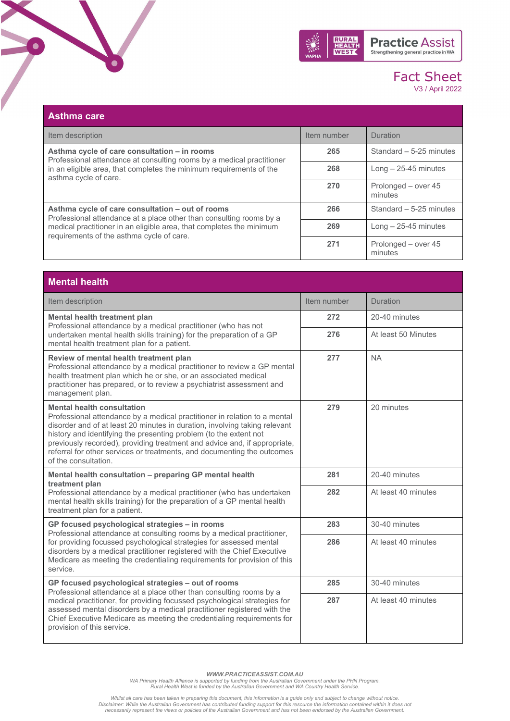

| <b>Asthma care</b>                                                                                                                                                                                                                           |             |                                |
|----------------------------------------------------------------------------------------------------------------------------------------------------------------------------------------------------------------------------------------------|-------------|--------------------------------|
| Item description                                                                                                                                                                                                                             | Item number | <b>Duration</b>                |
| Asthma cycle of care consultation – in rooms<br>Professional attendance at consulting rooms by a medical practitioner<br>in an eligible area, that completes the minimum requirements of the<br>asthma cycle of care.                        | 265         | Standard - 5-25 minutes        |
|                                                                                                                                                                                                                                              | 268         | Long $-25-45$ minutes          |
|                                                                                                                                                                                                                                              | 270         | Prolonged - over 45<br>minutes |
| Asthma cycle of care consultation - out of rooms<br>Professional attendance at a place other than consulting rooms by a<br>medical practitioner in an eligible area, that completes the minimum<br>requirements of the asthma cycle of care. | 266         | Standard - 5-25 minutes        |
|                                                                                                                                                                                                                                              | 269         | $Long - 25-45$ minutes         |
|                                                                                                                                                                                                                                              | 271         | Prolonged – over 45<br>minutes |

 $\bullet$ 

| <b>Mental health</b>                                                                                                                                                                                                                                                                                                                                                                                                                              |             |                     |
|---------------------------------------------------------------------------------------------------------------------------------------------------------------------------------------------------------------------------------------------------------------------------------------------------------------------------------------------------------------------------------------------------------------------------------------------------|-------------|---------------------|
| Item description                                                                                                                                                                                                                                                                                                                                                                                                                                  | Item number | Duration            |
| Mental health treatment plan<br>Professional attendance by a medical practitioner (who has not<br>undertaken mental health skills training) for the preparation of a GP<br>mental health treatment plan for a patient.                                                                                                                                                                                                                            | 272         | 20-40 minutes       |
|                                                                                                                                                                                                                                                                                                                                                                                                                                                   | 276         | At least 50 Minutes |
| Review of mental health treatment plan<br>Professional attendance by a medical practitioner to review a GP mental<br>health treatment plan which he or she, or an associated medical<br>practitioner has prepared, or to review a psychiatrist assessment and<br>management plan.                                                                                                                                                                 | 277         | <b>NA</b>           |
| <b>Mental health consultation</b><br>Professional attendance by a medical practitioner in relation to a mental<br>disorder and of at least 20 minutes in duration, involving taking relevant<br>history and identifying the presenting problem (to the extent not<br>previously recorded), providing treatment and advice and, if appropriate,<br>referral for other services or treatments, and documenting the outcomes<br>of the consultation. | 279         | 20 minutes          |
| Mental health consultation - preparing GP mental health<br>treatment plan<br>Professional attendance by a medical practitioner (who has undertaken<br>mental health skills training) for the preparation of a GP mental health<br>treatment plan for a patient.                                                                                                                                                                                   | 281         | 20-40 minutes       |
|                                                                                                                                                                                                                                                                                                                                                                                                                                                   | 282         | At least 40 minutes |
| GP focused psychological strategies - in rooms<br>Professional attendance at consulting rooms by a medical practitioner,<br>for providing focussed psychological strategies for assessed mental<br>disorders by a medical practitioner registered with the Chief Executive<br>Medicare as meeting the credentialing requirements for provision of this<br>service.                                                                                | 283         | 30-40 minutes       |
|                                                                                                                                                                                                                                                                                                                                                                                                                                                   | 286         | At least 40 minutes |
| GP focused psychological strategies - out of rooms<br>Professional attendance at a place other than consulting rooms by a<br>medical practitioner, for providing focussed psychological strategies for<br>assessed mental disorders by a medical practitioner registered with the<br>Chief Executive Medicare as meeting the credentialing requirements for<br>provision of this service.                                                         | 285         | 30-40 minutes       |
|                                                                                                                                                                                                                                                                                                                                                                                                                                                   | 287         | At least 40 minutes |

WWW.PRACTICEASSIST.COM.AU<br>WA Primary Health Alliance is supported by funding from the Australian Government under the PHN Program.<br>Rural Health West is funded by the Australian Government and WA Country Health Service.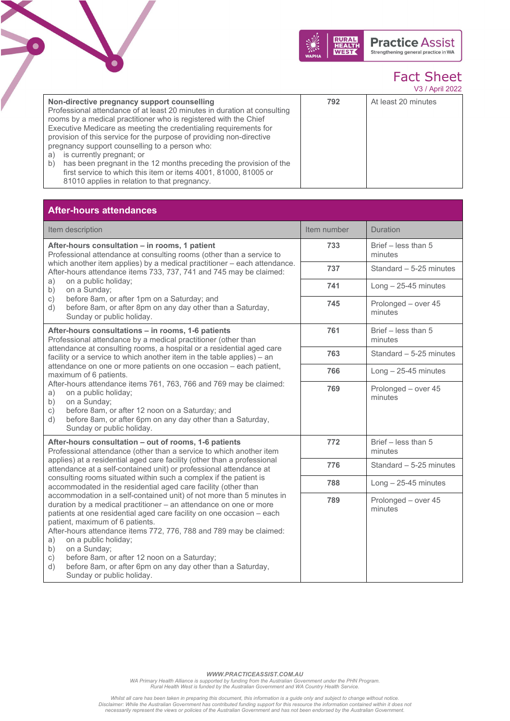

V3 / April 2022

| Non-directive pregnancy support counselling<br>Professional attendance of at least 20 minutes in duration at consulting<br>rooms by a medical practitioner who is registered with the Chief<br>Executive Medicare as meeting the credentialing requirements for<br>provision of this service for the purpose of providing non-directive<br>pregnancy support counselling to a person who:<br>is currently pregnant; or<br>a)<br>has been pregnant in the 12 months preceding the provision of the<br>b)<br>first service to which this item or items 4001, 81000, 81005 or<br>81010 applies in relation to that pregnancy. | 792 | At least 20 minutes |
|----------------------------------------------------------------------------------------------------------------------------------------------------------------------------------------------------------------------------------------------------------------------------------------------------------------------------------------------------------------------------------------------------------------------------------------------------------------------------------------------------------------------------------------------------------------------------------------------------------------------------|-----|---------------------|
|----------------------------------------------------------------------------------------------------------------------------------------------------------------------------------------------------------------------------------------------------------------------------------------------------------------------------------------------------------------------------------------------------------------------------------------------------------------------------------------------------------------------------------------------------------------------------------------------------------------------------|-----|---------------------|

### **After-hours attendances**

6

| Item description                                                                                                                                                                                                                                                                                                                                                                                                                                                                                                                                                                                                                                           | Item number | Duration                       |
|------------------------------------------------------------------------------------------------------------------------------------------------------------------------------------------------------------------------------------------------------------------------------------------------------------------------------------------------------------------------------------------------------------------------------------------------------------------------------------------------------------------------------------------------------------------------------------------------------------------------------------------------------------|-------------|--------------------------------|
| After-hours consultation - in rooms, 1 patient<br>Professional attendance at consulting rooms (other than a service to<br>which another item applies) by a medical practitioner - each attendance.<br>After-hours attendance items 733, 737, 741 and 745 may be claimed:<br>on a public holiday;<br>a)<br>on a Sunday;<br>b)<br>before 8am, or after 1pm on a Saturday; and<br>c)<br>before 8am, or after 8pm on any day other than a Saturday,<br>d)<br>Sunday or public holiday.                                                                                                                                                                         | 733         | Brief - less than 5<br>minutes |
|                                                                                                                                                                                                                                                                                                                                                                                                                                                                                                                                                                                                                                                            | 737         | Standard - 5-25 minutes        |
|                                                                                                                                                                                                                                                                                                                                                                                                                                                                                                                                                                                                                                                            | 741         | $Long - 25-45$ minutes         |
|                                                                                                                                                                                                                                                                                                                                                                                                                                                                                                                                                                                                                                                            | 745         | Prolonged - over 45<br>minutes |
| After-hours consultations - in rooms, 1-6 patients<br>Professional attendance by a medical practitioner (other than<br>attendance at consulting rooms, a hospital or a residential aged care<br>facility or a service to which another item in the table applies) - an<br>attendance on one or more patients on one occasion - each patient,<br>maximum of 6 patients.<br>After-hours attendance items 761, 763, 766 and 769 may be claimed:<br>on a public holiday;<br>a)<br>on a Sunday;<br>b)<br>before 8am, or after 12 noon on a Saturday; and<br>C)<br>before 8am, or after 6pm on any day other than a Saturday,<br>d)<br>Sunday or public holiday. | 761         | Brief - less than 5<br>minutes |
|                                                                                                                                                                                                                                                                                                                                                                                                                                                                                                                                                                                                                                                            | 763         | Standard - 5-25 minutes        |
|                                                                                                                                                                                                                                                                                                                                                                                                                                                                                                                                                                                                                                                            | 766         | $Long - 25-45$ minutes         |
|                                                                                                                                                                                                                                                                                                                                                                                                                                                                                                                                                                                                                                                            | 769         | Prolonged - over 45<br>minutes |
| After-hours consultation – out of rooms, 1-6 patients<br>Professional attendance (other than a service to which another item<br>applies) at a residential aged care facility (other than a professional<br>attendance at a self-contained unit) or professional attendance at<br>consulting rooms situated within such a complex if the patient is<br>accommodated in the residential aged care facility (other than                                                                                                                                                                                                                                       | 772         | Brief - less than 5<br>minutes |
|                                                                                                                                                                                                                                                                                                                                                                                                                                                                                                                                                                                                                                                            | 776         | Standard - 5-25 minutes        |
|                                                                                                                                                                                                                                                                                                                                                                                                                                                                                                                                                                                                                                                            | 788         | $Long - 25-45$ minutes         |
| accommodation in a self-contained unit) of not more than 5 minutes in<br>duration by a medical practitioner - an attendance on one or more<br>patients at one residential aged care facility on one occasion - each<br>patient, maximum of 6 patients.<br>After-hours attendance items 772, 776, 788 and 789 may be claimed:<br>on a public holiday;<br>a)<br>on a Sunday;<br>b)<br>before 8am, or after 12 noon on a Saturday;<br>c)<br>before 8am, or after 6pm on any day other than a Saturday,<br>d)<br>Sunday or public holiday.                                                                                                                     | 789         | Prolonged - over 45<br>minutes |

WWW.PRACTICEASSIST.COM.AU<br>WA Primary Health Alliance is supported by funding from the Australian Government under the PHN Program.<br>Rural Health West is funded by the Australian Government and WA Country Health Service.